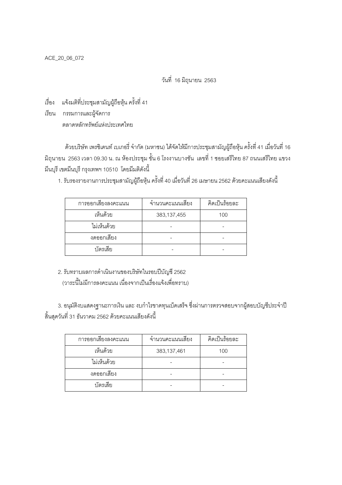ACE\_20\_06\_072

วันที่ 16 มิถุนายน 2563

.<br>เรื่อง แจ้งมติที่ประชุมสามัญผู้ถือหุ้น ครั้งที่ 41

เรียน กรรมการและผู้จัดการ ตลาดหลักทรัพย์แห่งประเทศไทย

้ด้วยบริษัท เพรซิเดนท์ เบเกอรี่ จำกัด (มหาชน) ได้จัดให้มีการประชุมสามัญผู้ถือหุ้น ครั้งที่ 41 เมื่อวันที่ 16 ้มิถุนายน 2563 เวลา 09.30 น. ณ ห้องประชุม ชั้น 6 โรงงานบางชัน เลขที่ 1 ซอยเสรีไทย 87 ถนนเสรีไทย แขวง ้มีนบุรี เขตมีนบุรี กรุงเทพฯ 10510 โดยมีมติดังนี้

1. รับรองรายงานการประชุมสามัญผู้ถือหุ้น ครั้งที่ 40 เมื่อวันที่ 26 เมษายน 2562 ด้วยคะแนนเสียงดังนี้

| การออกเสี่ยงลงคะแนน | จำนวนคะแนนเสียง | คิดเป็นร้อยละ |
|---------------------|-----------------|---------------|
| เห็นด้วย            | 383,137,455     | 100           |
| ไม่เห็นด้วย         |                 |               |
| งดออกเสียง          |                 |               |
| บัตรเสีย            |                 |               |

2. รับทราบผลการดำเนินงานของบริษัทในรอบปีบัญชี 2562 (วาระนี้ไม่มีการลงคะแนน เนื่องจากเป็นเรื่องแจ้งเพื่อทราบ)

3. อนุมัติงบแสดงฐานะการเงิน และ งบกำไรขาดทุนเบ็ดเสร็จ ซึ่งผ่านการตรวจสอบจากผู้สอบบัญชีประจำปี ์ สิ้นสุดวันที่ 31 ธันวาคม 2562 ด้วยคะแนนเสียงดังนี้

| การออกเสี่ยงลงคะแนน | จำนวนคะแนนเสียง | คิดเป็นร้อยละ |
|---------------------|-----------------|---------------|
| เห็นด้วย            | 383,137,461     | 100           |
| ไม่เห็นด้วย         |                 |               |
| งดออกเสียง          |                 |               |
| บัตรเสีย            |                 |               |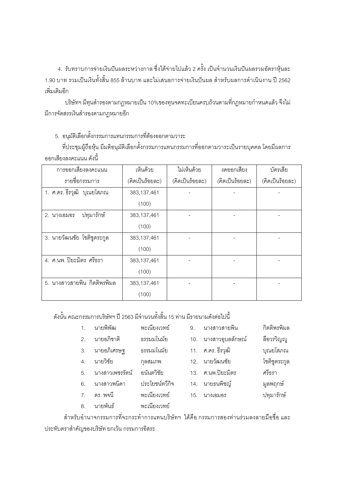4. รับทราบการจ่ายเงินปันผลระหว่างกาล ซึ่งได้จ่ายไปแล้ว 2 ครั้ง เป็นจำนวนเงินปันผลรวมอัตราหุ้นละ 1.90 บาท รวมเป็นเงินทั้งสิ้น 855 ล้านบาท และไม่เสนคการจ่ายเงินปันผล สำหรับผลการดำเนินงาน ปี 2562 เพิ่มเติมคีก

้ บริษัทฯ มีทุนสำรองตามกฎหมายเป็น 10%ของทุนจดทะเบียนครบถ้วนตามที่กฎหมายกำหนดแล้ว จึงไม่ มีการจัดสรรเงินสำรองตามกฎหมายอีก

5. อนุมัติเลือกตั้งกรรมการแทนกรรมการที่ต้องออกตามวาระ

ที่ประชุมผู้ถือหุ้น มีมติอนุมัติเลือกตั้งกรรมการแทนกรรมการที่ออกตามวาระเป็นรายบุคคล โดยมีผลการ ้คคกเสียงลงคะแบบ ดังนี้

| การออกเสียงลงคะแนน          | เห็นด้วย        | ไม่เห็นด้วย     | งดออกเสียง      | บัตรเลีย        |
|-----------------------------|-----------------|-----------------|-----------------|-----------------|
| รายชื่อกรรมการ              | (คิดเป็นร้อยละ) | (คิดเป็นร้อยละ) | (คิดเป็นร้อยละ) | (คิดเป็นร้อยละ) |
| 1. ศ.ดร. ธีรวุฒิ บุณยโสภณ   | 383,137,461     |                 |                 |                 |
|                             | (100)           |                 |                 |                 |
| ปทุมารักษ์<br>2. นางเอมอร   | 383,137,461     |                 |                 |                 |
|                             | (100)           |                 |                 |                 |
| 3. นายวัฒนชัย โชติชูตระกูล  | 383,137,461     |                 |                 |                 |
|                             | (100)           |                 |                 |                 |
| 4. ศ.นพ. ปิยะมิตร ศรีธรา    | 383,137,461     |                 |                 |                 |
|                             | (100)           |                 |                 |                 |
| 5. นางสาวสายพิน กิตติพรพิมล | 383,137,461     |                 |                 |                 |
|                             | (100)           |                 |                 |                 |

้ ดังนั้น คณะกรรมการบริษัทฯ ปี 2563 มีจำนวนทั้งสิ้น 15 ท่าน มีรายนามดังต่อไปนี้

| 1. นายพิพัฒ   | พะเนียงเวทย์ |  |
|---------------|--------------|--|
| 2. นายอภิชาติ | ธรรมมโนมัย   |  |

- ธรรมมโนมัย นายอภิเศรษฐ  $\overline{3}$ .
- นายวิชัย กุลสมภพ  $4.$
- นางสาวเพชรรัตน์ อนันตวิชัย 5.
- นางสาวพนิดา ประโยศน์ทวีกิจ  $6<sup>1</sup>$
- พะเนียงเวทย์ ดร พจนี  $\overline{7}$
- พะเนียงเวทย์  $8<sub>1</sub>$ นายพันธ์
- นางสาวสายพิน กิตติพรพิมล  $\overline{9}$
- 10. นางสาวอุบลลักษณ์ ลือวรวิญญ
- 11. ศ.ดร. ธีรวุฒิ
- 12. นายวัฒนชัย
- 13. ศ.นพ.ปิยะมิตร

15. นางเอมอร

- 14. นายธนพิชณ์
- มูลพฤกษ์ ปทุมารักษ์

บุณยโสภณ

โชติชูตระกูล

ศรีกรา

้สำหรับอำนาจกรรมการที่จะกระทำการแทนบริษัทฯ ได้คือ กรรมการสองท่านร่วมลงลายมือชื่อ และ ประทับตราสำคัญของบริษัท ยกเว้น กรรมการอิสระ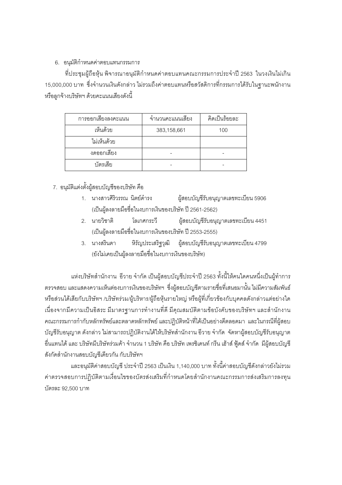## 6. อนมัติกำหนดค่าตอบแทนกรรมการ

ที่ประชุมผู้ถือหุ้น พิจารณาอนุมัติกำหนดค่าตอบแทนคณะกรรมการประจำปี 2563 ในวงเงินไม่เกิน 15,000,000 บาท ซึ่งจำนวนเงินดังกล่าว ไม่รวมถึงค่าตอบแทนหรือสวัสดิการที่กรรมการได้รับในฐานะพนักงาน หรือลูกจ้างบริษัทฯ ด้วยคะแนนเสียงดังนี้

| การออกเสียงลงคะแนน | จำนวนคะแนนเสียง | คิดเป็นร้อยละ |
|--------------------|-----------------|---------------|
| เห็นด้วย           | 383,158,661     | 100           |
| ไม่เห็นด้วย        |                 |               |
| งดออกเสียง         |                 |               |
| บัตรเสีย           |                 |               |

## 7. อนมัติแต่งตั้งผ้สอบบัญชีของบริษัท คือ

- ผู้สอบบัญชีรับอนุญาตเลขทะเบี่ยน 5906 1. นางสาวศิริวรรณ นิตย์ดำรง (เป็นผู้ลงลายมือชื่อในงบการเงินของบริษัท ปี 2561-2562)
- ผู้สอบบัญชีรับอนุญาตเลขทะเบียน 4451 2. นายวิชาติ โลเกศกระวิ (เป็นผู้ลงลายมือชื่อในงบการเงินของบริษัท ปี 2553-2555)
- ผู้สอบบัญชีรับอนุญาตเลขทะเบียน 4799 3. นางสรินดา หิรัญประเสริฐวุฒิ (ยังไม่เคยเป็นผู้ลงลายมือชื่อในงบการเงินของบริษัท)

แห่งบริษัทสำนักงาน อีวาย จำกัด เป็นผู้สอบบัญชีประจำปี 2563 ทั้งนี้ให้คนใดคนหนึ่งเป็นผู้ทำการ ้ตรวจสอบ และแสดงความเห็นต่องบการเงินของบริษัทฯ ซึ่งผู้สอบบัญชีตามรายชื่อที่เสนอมานั้น ไม่มีความสัมพันธ์ หรือส่วนได้เสียกับบริษัทฯ /บริษัทร่วม/ผู้บริหาร/ผู้ถือหุ้นรายใหญ่ หรือผู้ที่เกี่ยวข้องกับบุคคลดังกล่าวแต่อย่างใด เนื่องจากมีความเป็นอิสระ มีมาตรฐานการทำงานที่ดี มีคุณสมบัติตามข้อบังคับของบริษัทฯ และสำนักงาน ้ คณะกรรมการกำกับหลักทรัพย์และตลาดหลักทรัพย์ และปฏิบัติหน้าที่ได้เป็นอย่างดีตลอดมา และในกรณีที่ผู้สอบ ้บัญชีรับอนุญาต ดังกล่าว ไม่สามารถปฏิบัติงานได้ให้บริษัทสำนักงาน อีวาย จำกัด จัดหาผู้สอบบัญชีรับอนุญาต ้ อื่นแทนได้ และ บริษัทมีบริษัทร่วมค้า จำนวน 1 บริษัท คือ บริษัท เพรซิเดนท์ กรีน เฮ้าส์ ฟู้ดส์ จำกัด มีผู้สอบบัญชี สังกัดสำนักงานสอบบัญชีเดียวกัน กับบริษัทฯ

และอนุมัติค่าสอบบัญชี ประจำปี 2563 เป็นเงิน 1,140,000 บาท ทั้งนี้ค่าสอบบัญชีดังกล่าวยังไม่รวม ค่าตรวจสอบการปฏิบัติตามเงื่อนไขของบัตรส่งเสริมที่กำหนดโดยสำนักงานคณะกรรมการส่งเสริมการลงทุน บัตรละ 92.500 บาท